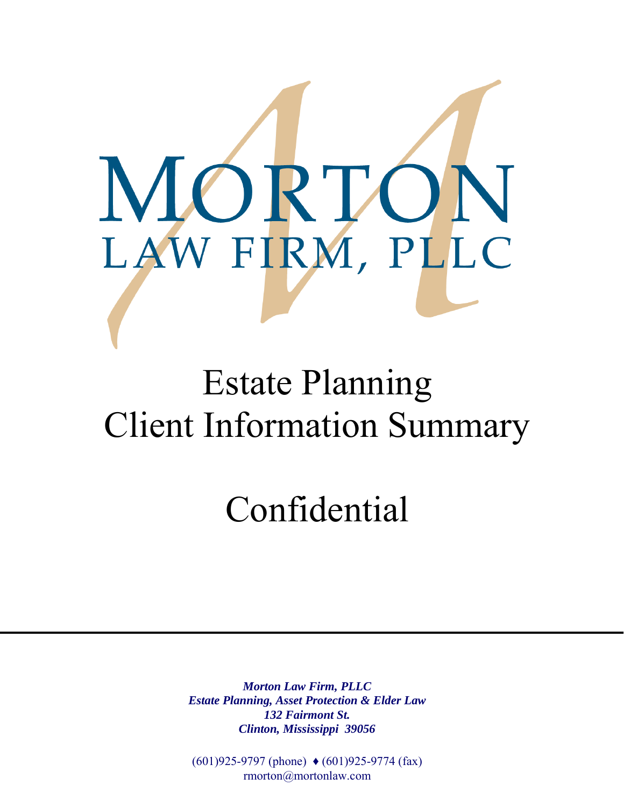

# Estate Planning Client Information Summary

# Confidential

*Morton Law Firm, PLLC Estate Planning, Asset Protection & Elder Law 132 Fairmont St. Clinton, Mississippi 39056* 

(601)925-9797 (phone) ♦ (601)925-9774 (fax) rmorton@mortonlaw.com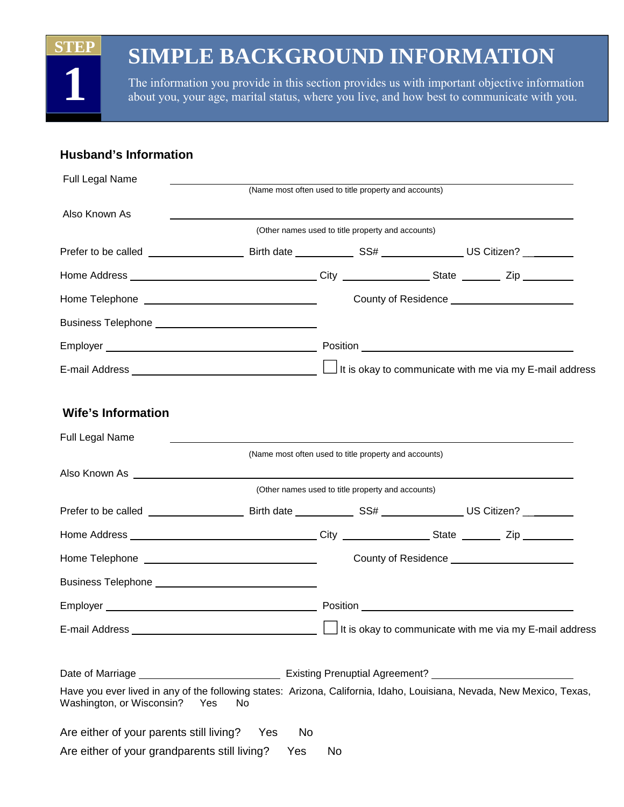### **STEP**

**1** 

### **SIMPLE BACKGROUND INFORMATION**

The information you provide in this section provides us with important objective information about you, your age, marital status, where you live, and how best to communicate with you.

### **Husband's Information**

| Full Legal Name                                                                                                                                    | (Name most often used to title property and accounts) |    |                                                   |                                                         |  |
|----------------------------------------------------------------------------------------------------------------------------------------------------|-------------------------------------------------------|----|---------------------------------------------------|---------------------------------------------------------|--|
| Also Known As                                                                                                                                      |                                                       |    |                                                   |                                                         |  |
|                                                                                                                                                    |                                                       |    | (Other names used to title property and accounts) |                                                         |  |
|                                                                                                                                                    |                                                       |    |                                                   |                                                         |  |
|                                                                                                                                                    |                                                       |    |                                                   |                                                         |  |
|                                                                                                                                                    |                                                       |    |                                                   |                                                         |  |
|                                                                                                                                                    |                                                       |    |                                                   |                                                         |  |
|                                                                                                                                                    |                                                       |    |                                                   |                                                         |  |
|                                                                                                                                                    |                                                       |    |                                                   |                                                         |  |
|                                                                                                                                                    |                                                       |    |                                                   |                                                         |  |
| <b>Wife's Information</b>                                                                                                                          |                                                       |    |                                                   |                                                         |  |
| Full Legal Name                                                                                                                                    |                                                       |    |                                                   |                                                         |  |
|                                                                                                                                                    | (Name most often used to title property and accounts) |    |                                                   |                                                         |  |
|                                                                                                                                                    |                                                       |    | (Other names used to title property and accounts) |                                                         |  |
|                                                                                                                                                    |                                                       |    |                                                   |                                                         |  |
|                                                                                                                                                    |                                                       |    |                                                   |                                                         |  |
|                                                                                                                                                    |                                                       |    |                                                   |                                                         |  |
|                                                                                                                                                    |                                                       |    |                                                   |                                                         |  |
|                                                                                                                                                    |                                                       |    |                                                   |                                                         |  |
| E-mail Address                                                                                                                                     |                                                       |    |                                                   | It is okay to communicate with me via my E-mail address |  |
|                                                                                                                                                    |                                                       |    |                                                   |                                                         |  |
|                                                                                                                                                    |                                                       |    |                                                   |                                                         |  |
| Have you ever lived in any of the following states: Arizona, California, Idaho, Louisiana, Nevada, New Mexico, Texas,<br>Washington, or Wisconsin? | Yes<br><b>No</b>                                      |    |                                                   |                                                         |  |
| Are either of your parents still living? Yes                                                                                                       | No                                                    |    |                                                   |                                                         |  |
| Are either of your grandparents still living?                                                                                                      | Yes                                                   | No |                                                   |                                                         |  |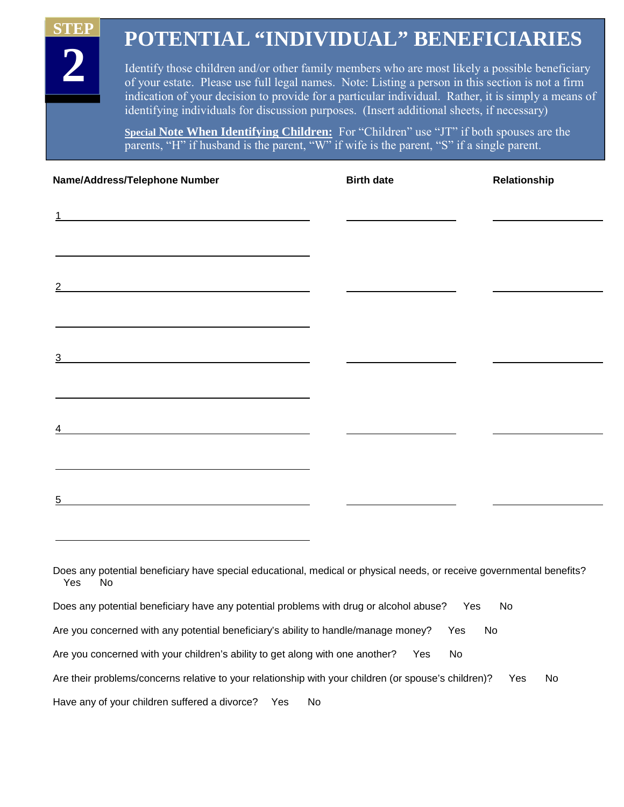### **POTENTIAL "INDIVIDUAL" BENEFICIARIES**

Identify those children and/or other family members who are most likely a possible beneficiary of your estate. Please use full legal names. Note: Listing a person in this section is not a firm indication of your decision to provide for a particular individual. Rather, it is simply a means of identifying individuals for discussion purposes. (Insert additional sheets, if necessary)

**Special Note When Identifying Children:** For "Children" use "JT" if both spouses are the parents, "H" if husband is the parent, "W" if wife is the parent, "S" if a single parent.

| Name/Address/Telephone Number                                                                                              | <b>Birth date</b> | Relationship |
|----------------------------------------------------------------------------------------------------------------------------|-------------------|--------------|
| 1<br><u> 1989 - Johann Barn, amerikansk politiker (</u>                                                                    |                   |              |
|                                                                                                                            |                   |              |
| 2                                                                                                                          |                   |              |
| 3                                                                                                                          |                   |              |
|                                                                                                                            |                   |              |
| 4<br><u> 1989 - Johann Barn, mars ann an t-Amhain an t-Amhain an t-Amhain an t-Amhain an t-Amhain an t-Amhain an t-Amh</u> |                   |              |
| 5                                                                                                                          |                   |              |
|                                                                                                                            |                   |              |

Does any potential beneficiary have any potential problems with drug or alcohol abuse? Yes No

Are you concerned with any potential beneficiary's ability to handle/manage money? Yes No

Are you concerned with your children's ability to get along with one another? Yes No

Are their problems/concerns relative to your relationship with your children (or spouse's children)? Yes No

Have any of your children suffered a divorce? Yes No

 **STEP** 

**2** 

Does any potential beneficiary have special educational, medical or physical needs, or receive governmental benefits? Yes No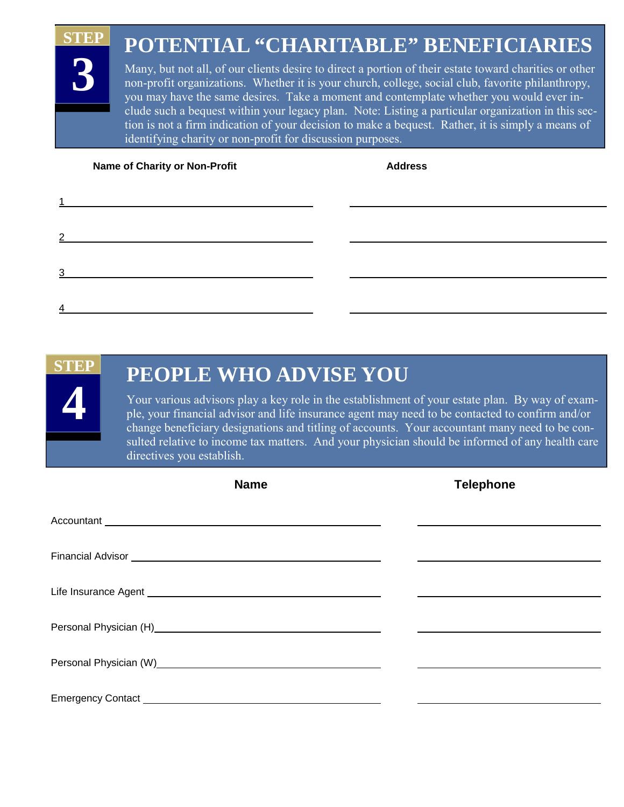### **POTENTIAL "CHARITABLE" BENEFICIARIES STEP 3**

Many, but not all, of our clients desire to direct a portion of their estate toward charities or other non-profit organizations. Whether it is your church, college, social club, favorite philanthropy, you may have the same desires. Take a moment and contemplate whether you would ever include such a bequest within your legacy plan. Note: Listing a particular organization in this section is not a firm indication of your decision to make a bequest. Rather, it is simply a means of identifying charity or non-profit for discussion purposes.

**Name of Charity or Non-Profit Charity Address Address Address Address Address Address Address Address Address Address Address Address Address Address Address Address Address Address Address Address Address Address Address** 

| <u> 1989 - Johann Harry Barn, mars ar breist fan de Amerikaanske kommunent fan de Amerikaanske kommunent fan de A</u>                  |  |
|----------------------------------------------------------------------------------------------------------------------------------------|--|
|                                                                                                                                        |  |
| $\mathcal{P}$<br><u> 1989 - Johann Harry Harry Harry Harry Harry Harry Harry Harry Harry Harry Harry Harry Harry Harry Harry Harry</u> |  |
|                                                                                                                                        |  |
| ว<br><u> 1989 - Johann Barbara, martin a</u>                                                                                           |  |
|                                                                                                                                        |  |
|                                                                                                                                        |  |
|                                                                                                                                        |  |

## **STEP 4**

### **PEOPLE WHO ADVISE YOU**

Your various advisors play a key role in the establishment of your estate plan. By way of example, your financial advisor and life insurance agent may need to be contacted to confirm and/or change beneficiary designations and titling of accounts. Your accountant many need to be consulted relative to income tax matters. And your physician should be informed of any health care directives you establish.

| <b>Name</b>                                                                                                                                                                                                                         | <b>Telephone</b> |
|-------------------------------------------------------------------------------------------------------------------------------------------------------------------------------------------------------------------------------------|------------------|
|                                                                                                                                                                                                                                     |                  |
| Financial Advisor <b>Example 2018</b> 2019 12:00:00 12:00:00 12:00:00 12:00:00 12:00:00 12:00:00 12:00:00 12:00:00 12:00:00 12:00:00 12:00:00 12:00:00 12:00:00 12:00:00 12:00:00 12:00:00 12:00:00 12:00:00 12:00:00 12:00:00 12:0 |                  |
|                                                                                                                                                                                                                                     |                  |
|                                                                                                                                                                                                                                     |                  |
|                                                                                                                                                                                                                                     |                  |
|                                                                                                                                                                                                                                     |                  |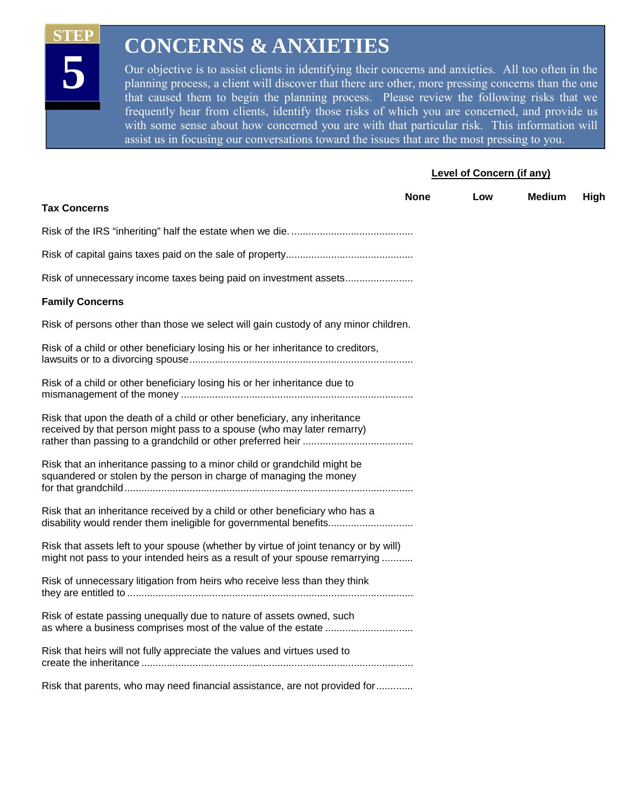**STEP** 

**5** 

### **CONCERNS & ANXIETIES**

Our objective is to assist clients in identifying their concerns and anxieties. All too often in the planning process, a client will discover that there are other, more pressing concerns than the one that caused them to begin the planning process. Please review the following risks that we frequently hear from clients, identify those risks of which you are concerned, and provide us with some sense about how concerned you are with that particular risk. This information will assist us in focusing our conversations toward the issues that are the most pressing to you.

#### **Level of Concern (if any)**

| <b>Tax Concerns</b>                                                                                                                                                 | <b>None</b> | Low | <b>Medium</b> | High |
|---------------------------------------------------------------------------------------------------------------------------------------------------------------------|-------------|-----|---------------|------|
|                                                                                                                                                                     |             |     |               |      |
|                                                                                                                                                                     |             |     |               |      |
| Risk of unnecessary income taxes being paid on investment assets                                                                                                    |             |     |               |      |
| <b>Family Concerns</b>                                                                                                                                              |             |     |               |      |
| Risk of persons other than those we select will gain custody of any minor children.                                                                                 |             |     |               |      |
| Risk of a child or other beneficiary losing his or her inheritance to creditors,                                                                                    |             |     |               |      |
| Risk of a child or other beneficiary losing his or her inheritance due to                                                                                           |             |     |               |      |
| Risk that upon the death of a child or other beneficiary, any inheritance<br>received by that person might pass to a spouse (who may later remarry)                 |             |     |               |      |
| Risk that an inheritance passing to a minor child or grandchild might be<br>squandered or stolen by the person in charge of managing the money                      |             |     |               |      |
| Risk that an inheritance received by a child or other beneficiary who has a<br>disability would render them ineligible for governmental benefits                    |             |     |               |      |
| Risk that assets left to your spouse (whether by virtue of joint tenancy or by will)<br>might not pass to your intended heirs as a result of your spouse remarrying |             |     |               |      |
| Risk of unnecessary litigation from heirs who receive less than they think                                                                                          |             |     |               |      |
| Risk of estate passing unequally due to nature of assets owned, such                                                                                                |             |     |               |      |
| Risk that heirs will not fully appreciate the values and virtues used to                                                                                            |             |     |               |      |
| Risk that parents, who may need financial assistance, are not provided for                                                                                          |             |     |               |      |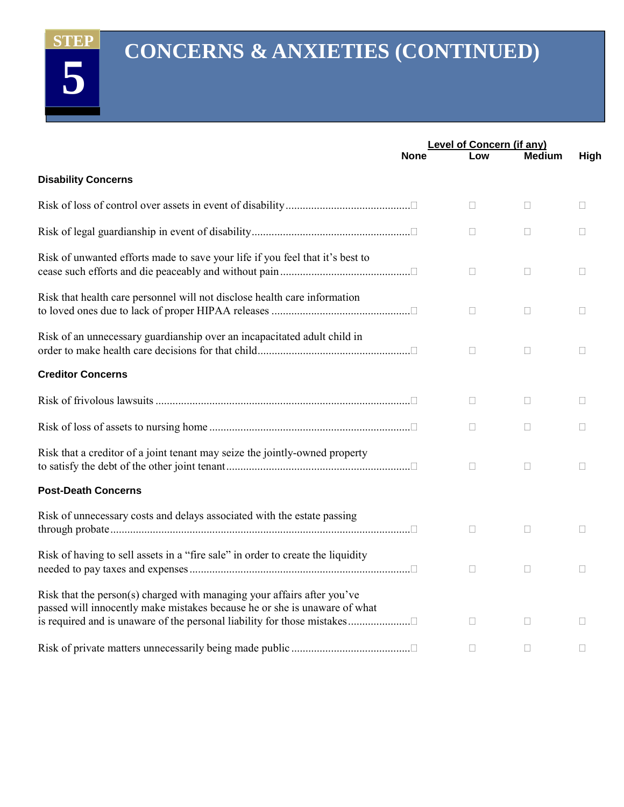**5** 

## **CONCERNS & ANXIETIES (CONTINUED)**

|                                                                                                                                                                                                                                 | Level of Concern (if any) |        |               |             |
|---------------------------------------------------------------------------------------------------------------------------------------------------------------------------------------------------------------------------------|---------------------------|--------|---------------|-------------|
|                                                                                                                                                                                                                                 | <b>None</b>               | Low    | <b>Medium</b> | <b>High</b> |
| <b>Disability Concerns</b>                                                                                                                                                                                                      |                           |        |               |             |
|                                                                                                                                                                                                                                 |                           | П      | □             | П           |
|                                                                                                                                                                                                                                 |                           | $\Box$ | $\Box$        | $\Box$      |
| Risk of unwanted efforts made to save your life if you feel that it's best to                                                                                                                                                   |                           | П      | П             | П           |
| Risk that health care personnel will not disclose health care information                                                                                                                                                       |                           | $\Box$ | $\Box$        | П           |
| Risk of an unnecessary guardianship over an incapacitated adult child in                                                                                                                                                        |                           | $\Box$ | $\Box$        | $\Box$      |
| <b>Creditor Concerns</b>                                                                                                                                                                                                        |                           |        |               |             |
|                                                                                                                                                                                                                                 |                           | П      | $\Box$        | п           |
|                                                                                                                                                                                                                                 |                           | П      | П             | П           |
| Risk that a creditor of a joint tenant may seize the jointly-owned property                                                                                                                                                     |                           | П      | П             | П           |
| <b>Post-Death Concerns</b>                                                                                                                                                                                                      |                           |        |               |             |
| Risk of unnecessary costs and delays associated with the estate passing                                                                                                                                                         |                           | $\Box$ | $\Box$        | П           |
| Risk of having to sell assets in a "fire sale" in order to create the liquidity                                                                                                                                                 |                           | П      | П             | П           |
| Risk that the person(s) charged with managing your affairs after you've<br>passed will innocently make mistakes because he or she is unaware of what<br>is required and is unaware of the personal liability for those mistakes |                           | П      | П             | П           |
|                                                                                                                                                                                                                                 |                           | П      | П             | П           |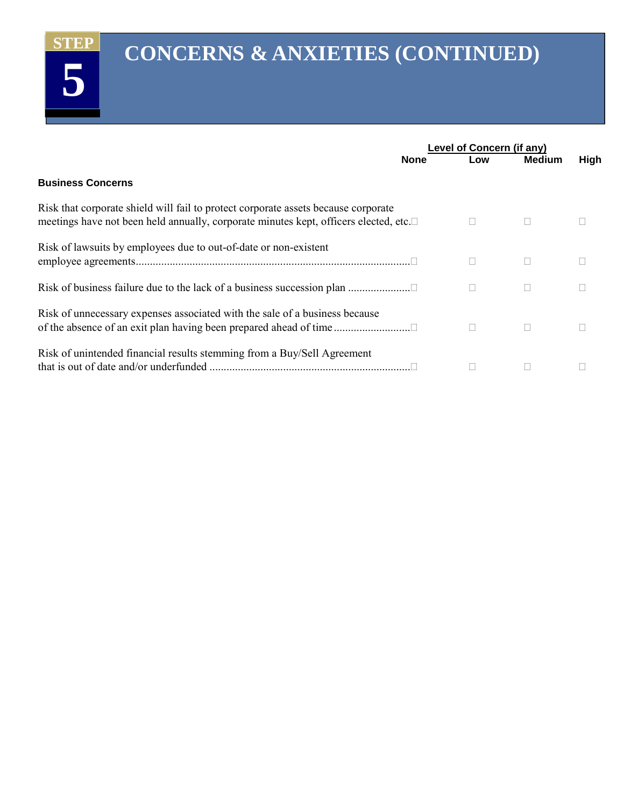**5** 

### **CONCERNS & ANXIETIES (CONTINUED)**

|                                                                                                                                                                            | Level of Concern (if any) |        |               |             |
|----------------------------------------------------------------------------------------------------------------------------------------------------------------------------|---------------------------|--------|---------------|-------------|
|                                                                                                                                                                            | <b>None</b>               | Low    | <b>Medium</b> | <b>High</b> |
| <b>Business Concerns</b>                                                                                                                                                   |                           |        |               |             |
| Risk that corporate shield will fail to protect corporate assets because corporate<br>meetings have not been held annually, corporate minutes kept, officers elected, etc. |                           |        |               |             |
| Risk of lawsuits by employees due to out-of-date or non-existent                                                                                                           |                           |        |               |             |
|                                                                                                                                                                            |                           | $\Box$ |               |             |
| Risk of unnecessary expenses associated with the sale of a business because                                                                                                |                           | П      |               |             |
| Risk of unintended financial results stemming from a Buy/Sell Agreement                                                                                                    |                           |        |               |             |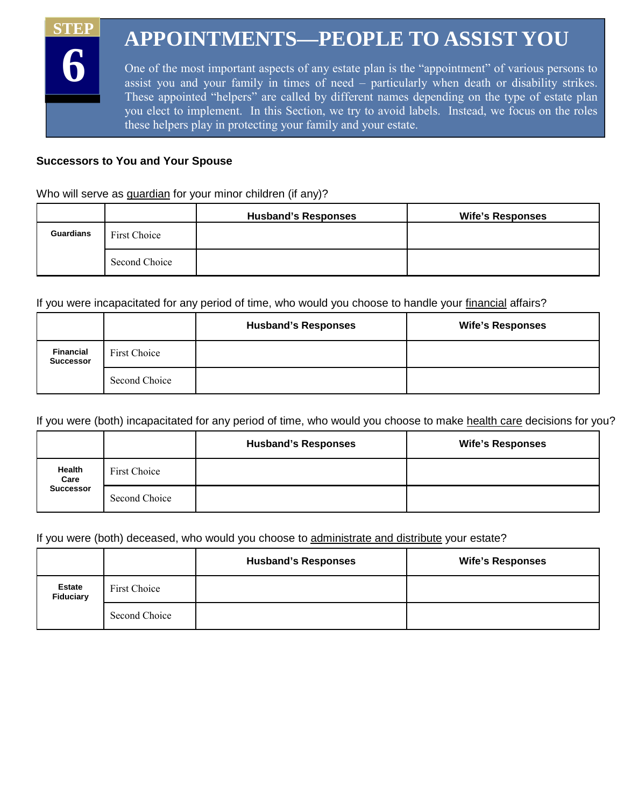### **APPOINTMENTS—PEOPLE TO ASSIST YOU STEP 6**

One of the most important aspects of any estate plan is the "appointment" of various persons to assist you and your family in times of need – particularly when death or disability strikes. These appointed "helpers" are called by different names depending on the type of estate plan you elect to implement. In this Section, we try to avoid labels. Instead, we focus on the roles these helpers play in protecting your family and your estate.

#### **Successors to You and Your Spouse**

Who will serve as guardian for your minor children (if any)?

|           |               | <b>Husband's Responses</b> | <b>Wife's Responses</b> |
|-----------|---------------|----------------------------|-------------------------|
| Guardians | First Choice  |                            |                         |
|           | Second Choice |                            |                         |

If you were incapacitated for any period of time, who would you choose to handle your financial affairs?

|                                      |               | <b>Husband's Responses</b> | <b>Wife's Responses</b> |
|--------------------------------------|---------------|----------------------------|-------------------------|
| <b>Financial</b><br><b>Successor</b> | First Choice  |                            |                         |
|                                      | Second Choice |                            |                         |

If you were (both) incapacitated for any period of time, who would you choose to make health care decisions for you?

|                  |               | <b>Husband's Responses</b> | <b>Wife's Responses</b> |
|------------------|---------------|----------------------------|-------------------------|
| Health<br>Care   | First Choice  |                            |                         |
| <b>Successor</b> | Second Choice |                            |                         |

#### If you were (both) deceased, who would you choose to administrate and distribute your estate?

|                                   |               | <b>Husband's Responses</b> | <b>Wife's Responses</b> |
|-----------------------------------|---------------|----------------------------|-------------------------|
| <b>Estate</b><br><b>Fiduciary</b> | First Choice  |                            |                         |
|                                   | Second Choice |                            |                         |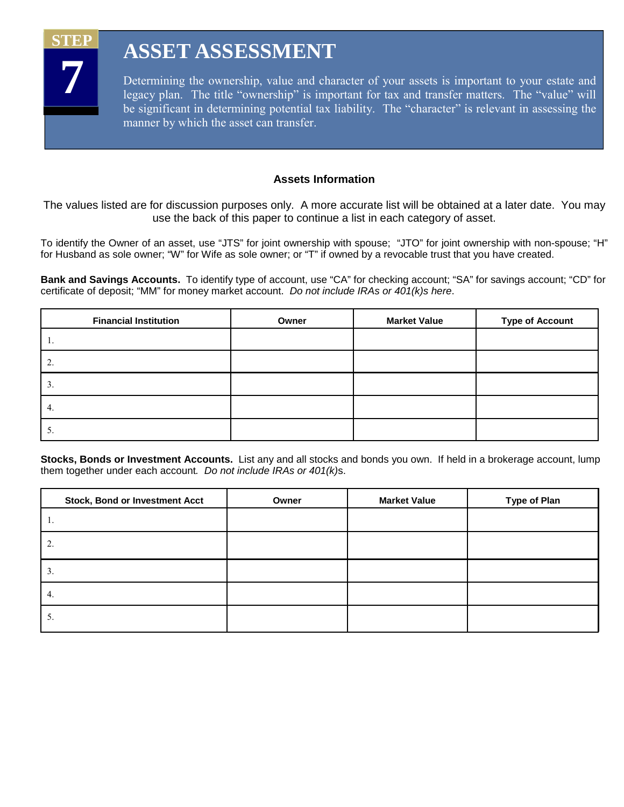

### **ASSET ASSESSMENT**

Determining the ownership, value and character of your assets is important to your estate and legacy plan. The title "ownership" is important for tax and transfer matters. The "value" will be significant in determining potential tax liability. The "character" is relevant in assessing the manner by which the asset can transfer.

#### **Assets Information**

The values listed are for discussion purposes only. A more accurate list will be obtained at a later date. You may use the back of this paper to continue a list in each category of asset.

To identify the Owner of an asset, use "JTS" for joint ownership with spouse; "JTO" for joint ownership with non-spouse; "H" for Husband as sole owner; "W" for Wife as sole owner; or "T" if owned by a revocable trust that you have created.

**Bank and Savings Accounts.** To identify type of account, use "CA" for checking account; "SA" for savings account; "CD" for certificate of deposit; "MM" for money market account. *Do not include IRAs or 401(k)s here*.

| <b>Financial Institution</b> | Owner | <b>Market Value</b> | <b>Type of Account</b> |
|------------------------------|-------|---------------------|------------------------|
| .,                           |       |                     |                        |
| 2.                           |       |                     |                        |
| $\mathfrak{I}.$              |       |                     |                        |
| 4.                           |       |                     |                        |
| $\mathcal{L}$                |       |                     |                        |

**Stocks, Bonds or Investment Accounts.** List any and all stocks and bonds you own. If held in a brokerage account, lump them together under each account*. Do not include IRAs or 401(k)*s.

| <b>Stock, Bond or Investment Acct</b> | Owner | <b>Market Value</b> | <b>Type of Plan</b> |
|---------------------------------------|-------|---------------------|---------------------|
| .,                                    |       |                     |                     |
|                                       |       |                     |                     |
| $\mathcal{L}$                         |       |                     |                     |
| 4.                                    |       |                     |                     |
| $\mathcal{D}$                         |       |                     |                     |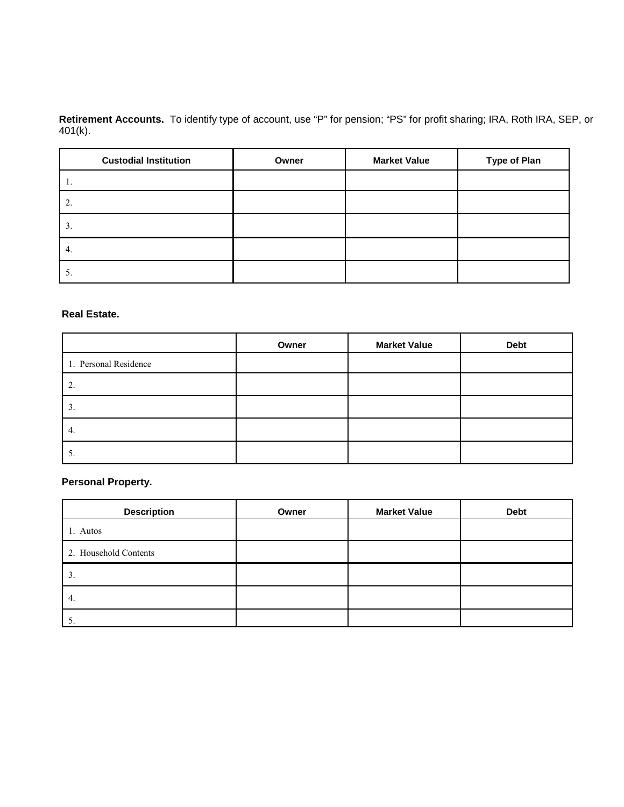**Retirement Accounts.** To identify type of account, use "P" for pension; "PS" for profit sharing; IRA, Roth IRA, SEP, or 401(k).

| <b>Custodial Institution</b> | Owner | <b>Market Value</b> | <b>Type of Plan</b> |
|------------------------------|-------|---------------------|---------------------|
| .,                           |       |                     |                     |
| 2.                           |       |                     |                     |
| $\mathfrak{I}.$              |       |                     |                     |
| 4.                           |       |                     |                     |
| $\mathcal{L}$                |       |                     |                     |

#### **Real Estate.**

|                       | Owner | <b>Market Value</b> | <b>Debt</b> |
|-----------------------|-------|---------------------|-------------|
| 1. Personal Residence |       |                     |             |
|                       |       |                     |             |
| $\mathfrak{I}.$       |       |                     |             |
| 4.                    |       |                     |             |
| J.                    |       |                     |             |

#### **Personal Property.**

| <b>Description</b>    | Owner | <b>Market Value</b> | <b>Debt</b> |
|-----------------------|-------|---------------------|-------------|
| 1. Autos              |       |                     |             |
| 2. Household Contents |       |                     |             |
| 3.                    |       |                     |             |
| 4.                    |       |                     |             |
|                       |       |                     |             |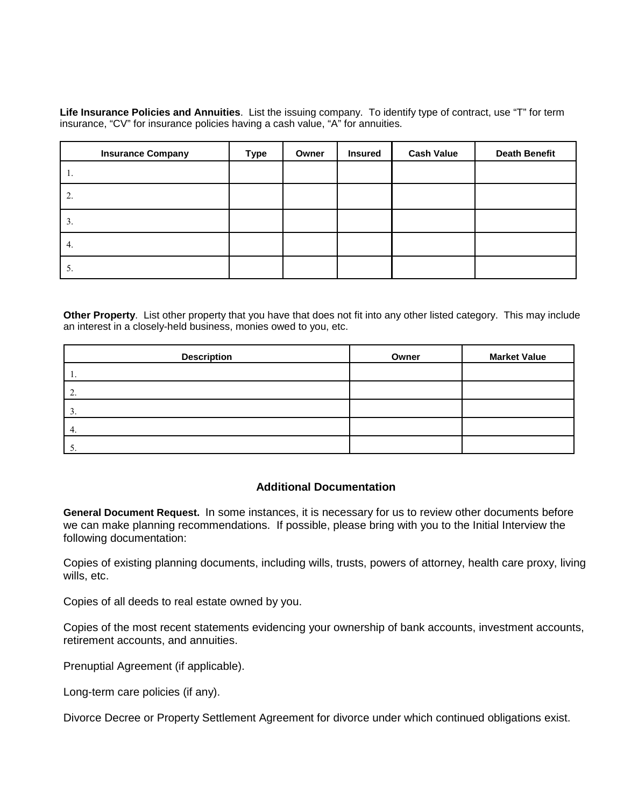**Life Insurance Policies and Annuities**. List the issuing company. To identify type of contract, use "T" for term insurance, "CV" for insurance policies having a cash value, "A" for annuities.

| <b>Insurance Company</b> | <b>Type</b> | Owner | <b>Insured</b> | <b>Cash Value</b> | <b>Death Benefit</b> |
|--------------------------|-------------|-------|----------------|-------------------|----------------------|
| Ι.                       |             |       |                |                   |                      |
| $\overline{2}$ .         |             |       |                |                   |                      |
| 3.                       |             |       |                |                   |                      |
| 4.                       |             |       |                |                   |                      |
| 5.                       |             |       |                |                   |                      |

**Other Property**. List other property that you have that does not fit into any other listed category. This may include an interest in a closely-held business, monies owed to you, etc.

| <b>Description</b> | Owner | <b>Market Value</b> |
|--------------------|-------|---------------------|
|                    |       |                     |
| ٠.                 |       |                     |
|                    |       |                     |
| -4.                |       |                     |
|                    |       |                     |

#### **Additional Documentation**

**General Document Request.** In some instances, it is necessary for us to review other documents before we can make planning recommendations. If possible, please bring with you to the Initial Interview the following documentation:

Copies of existing planning documents, including wills, trusts, powers of attorney, health care proxy, living wills, etc.

Copies of all deeds to real estate owned by you.

Copies of the most recent statements evidencing your ownership of bank accounts, investment accounts, retirement accounts, and annuities.

Prenuptial Agreement (if applicable).

Long-term care policies (if any).

Divorce Decree or Property Settlement Agreement for divorce under which continued obligations exist.